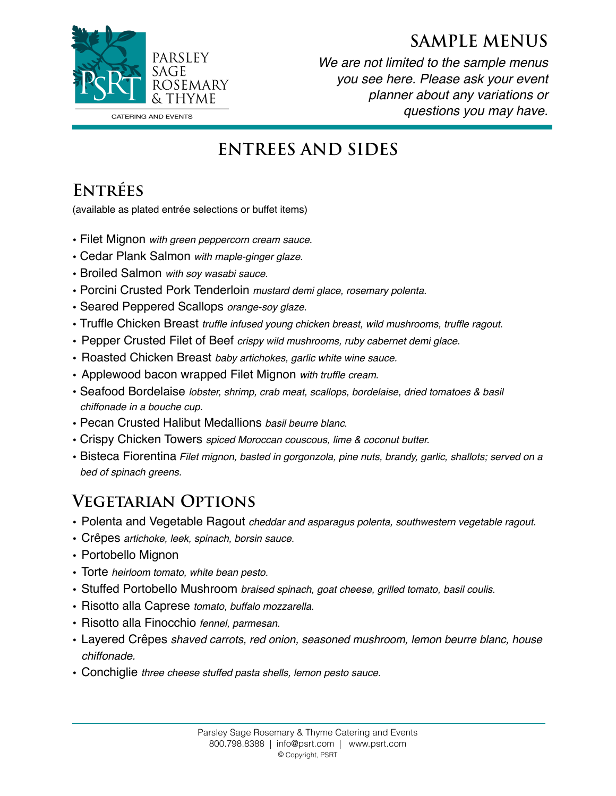



*We are not limited to the sample menus you see here. Please ask your event planner about any variations or questions you may have.* 

# **ENTREES AND SIDES**

### **Entrées**

(available as plated entrée selections or buffet items)

- Filet Mignon *with green peppercorn cream sauce*.
- Cedar Plank Salmon *with maple-ginger glaze*.
- Broiled Salmon *with soy wasabi sauce.*
- Porcini Crusted Pork Tenderloin *mustard demi glace, rosemary polenta.*
- Seared Peppered Scallops *orange-soy glaze*.
- Truffle Chicken Breast *truffle infused young chicken breast, wild mushrooms, truffle ragout*.
- Pepper Crusted Filet of Beef *crispy wild mushrooms, ruby cabernet demi glace.*
- Roasted Chicken Breast *baby artichokes, garlic white wine sauce.*
- Applewood bacon wrapped Filet Mignon *with truffle cream*.
- Seafood Bordelaise *lobster, shrimp, crab meat, scallops, bordelaise, dried tomatoes & basil chiffonade in a bouche cup.*
- Pecan Crusted Halibut Medallions *basil beurre blanc*.
- Crispy Chicken Towers *spiced Moroccan couscous, lime & coconut butter.*
- Bisteca Fiorentina *Filet mignon, basted in gorgonzola, pine nuts, brandy, garlic, shallots; served on a bed of spinach greens.*

#### **Vegetarian Options**

- Polenta and Vegetable Ragout *cheddar and asparagus polenta, southwestern vegetable ragout.*
- Crêpes *artichoke, leek, spinach, borsin sauce.*
- Portobello Mignon
- Torte *heirloom tomato, white bean pesto*.
- Stuffed Portobello Mushroom *braised spinach, goat cheese, grilled tomato, basil coulis*.
- Risotto alla Caprese *tomato, buffalo mozzarella*.
- Risotto alla Finocchio *fennel, parmesan.*
- Layered Crêpes *shaved carrots, red onion, seasoned mushroom, lemon beurre blanc, house chiffonade.*
- Conchiglie *three cheese stuffed pasta shells, lemon pesto sauce.*